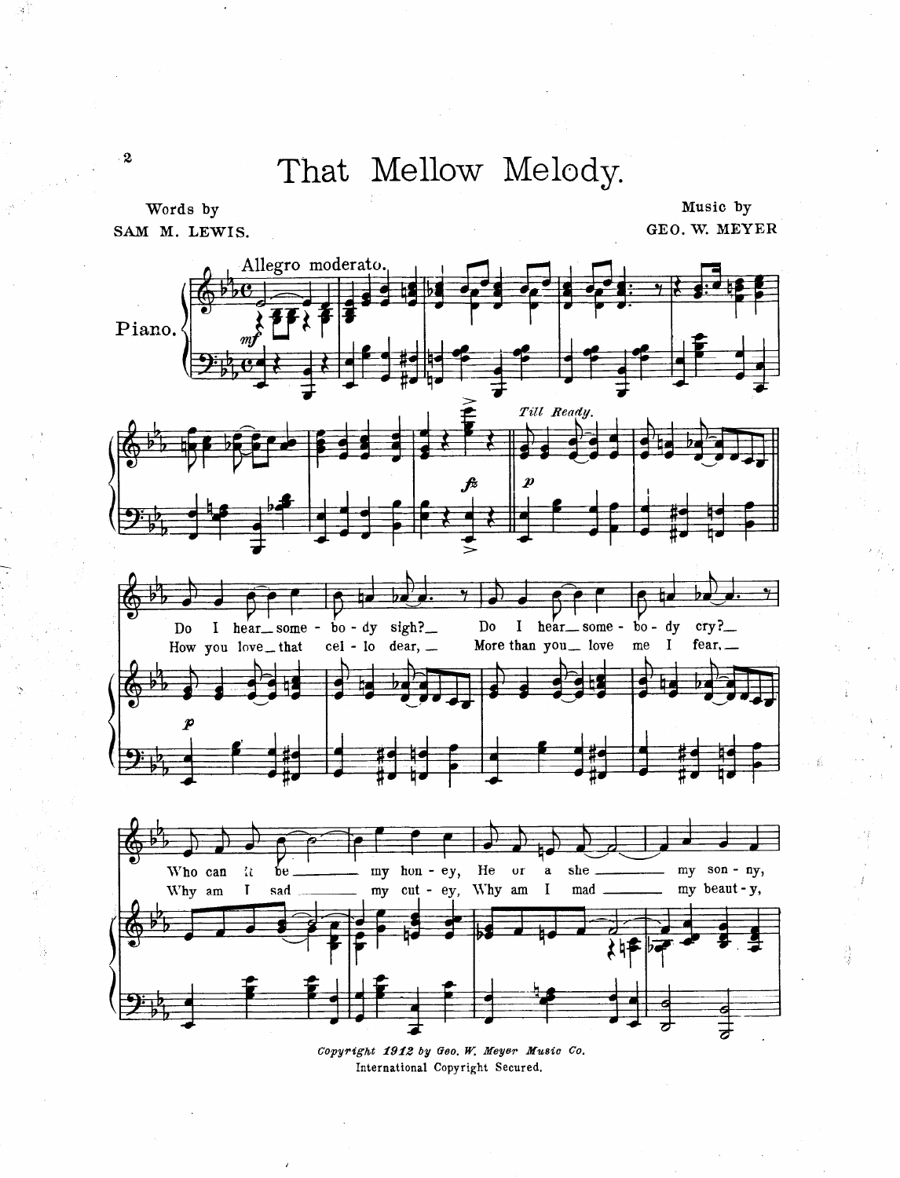That Mellow Melody.

Words by SAM M. LEWIS.

 $\boldsymbol{2}$ 

Music by GEO. W. MEYER

镁



Copyright 1912 by Geo. W. Meyer Music Co. International Copyright Secured.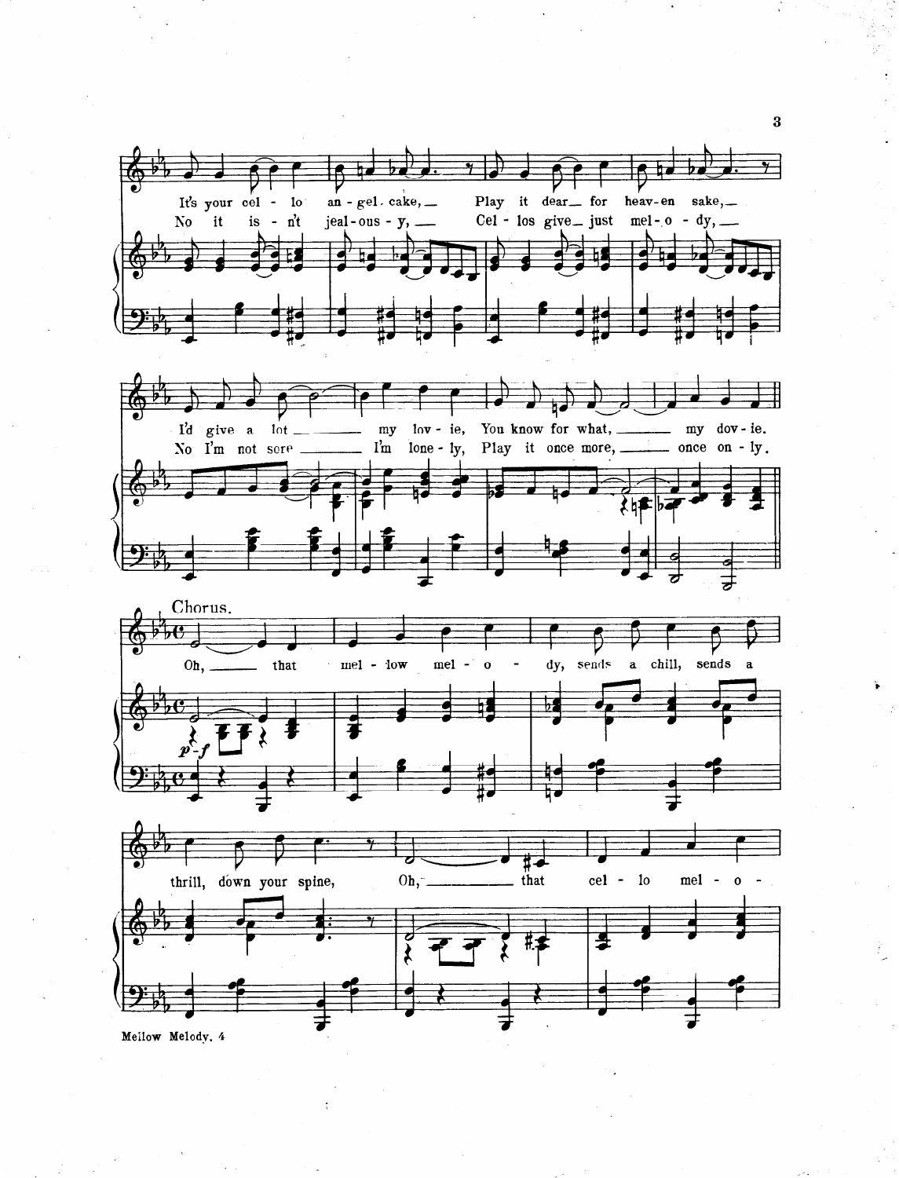

 $\overline{\mathbf{3}}$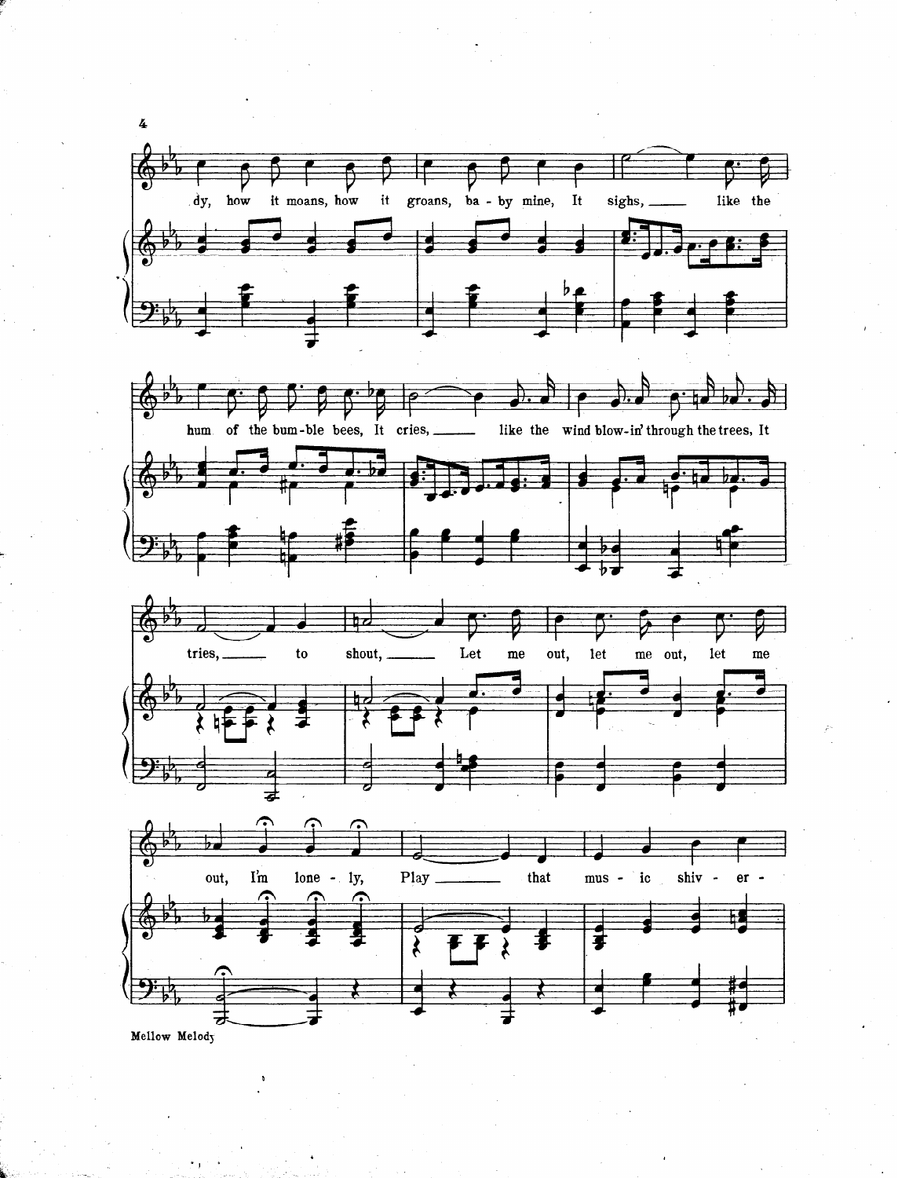